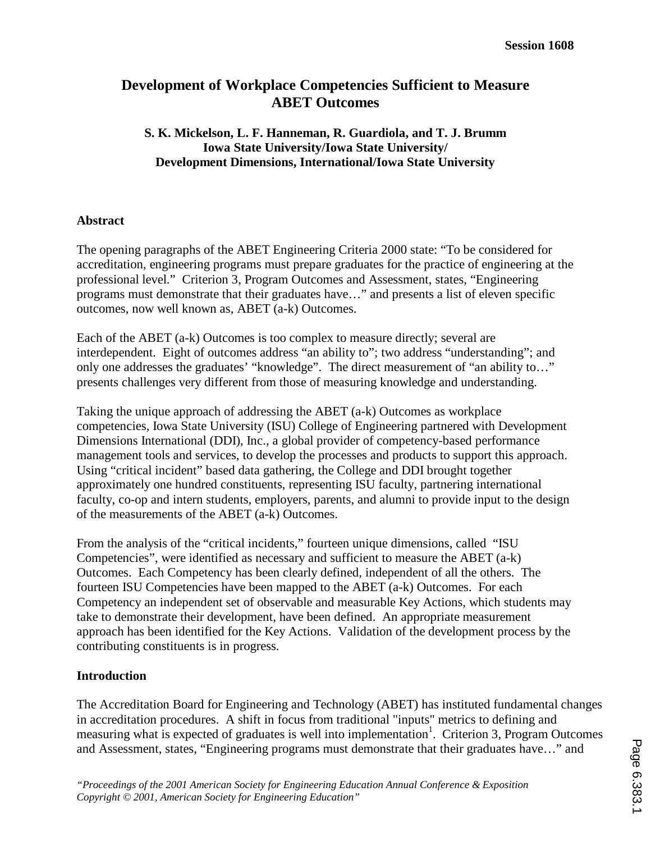# **Development of Workplace Competencies Sufficient to Measure ABET Outcomes**

### **S. K. Mickelson, L. F. Hanneman, R. Guardiola, and T. J. Brumm Iowa State University/Iowa State University/ Development Dimensions, International/Iowa State University**

## **Abstract**

The opening paragraphs of the ABET Engineering Criteria 2000 state: "To be considered for accreditation, engineering programs must prepare graduates for the practice of engineering at the professional level." Criterion 3, Program Outcomes and Assessment, states, "Engineering programs must demonstrate that their graduates have…" and presents a list of eleven specific outcomes, now well known as, ABET (a-k) Outcomes.

Each of the ABET (a-k) Outcomes is too complex to measure directly; several are interdependent. Eight of outcomes address "an ability to"; two address "understanding"; and only one addresses the graduates' "knowledge". The direct measurement of "an ability to…" presents challenges very different from those of measuring knowledge and understanding.

Taking the unique approach of addressing the ABET (a-k) Outcomes as workplace competencies, Iowa State University (ISU) College of Engineering partnered with Development Dimensions International (DDI), Inc., a global provider of competency-based performance management tools and services, to develop the processes and products to support this approach. Using "critical incident" based data gathering, the College and DDI brought together approximately one hundred constituents, representing ISU faculty, partnering international faculty, co-op and intern students, employers, parents, and alumni to provide input to the design of the measurements of the ABET (a-k) Outcomes.

From the analysis of the "critical incidents," fourteen unique dimensions, called "ISU Competencies", were identified as necessary and sufficient to measure the ABET (a-k) Outcomes. Each Competency has been clearly defined, independent of all the others. The fourteen ISU Competencies have been mapped to the ABET (a-k) Outcomes. For each Competency an independent set of observable and measurable Key Actions, which students may take to demonstrate their development, have been defined. An appropriate measurement approach has been identified for the Key Actions. Validation of the development process by the contributing constituents is in progress.

### **Introduction**

The Accreditation Board for Engineering and Technology (ABET) has instituted fundamental changes in accreditation procedures. A shift in focus from traditional "inputs" metrics to defining and measuring what is expected of graduates is well into implementation<sup>1</sup>. Criterion 3, Program Outcomes and Assessment, states, "Engineering programs must demonstrate that their graduates have…" and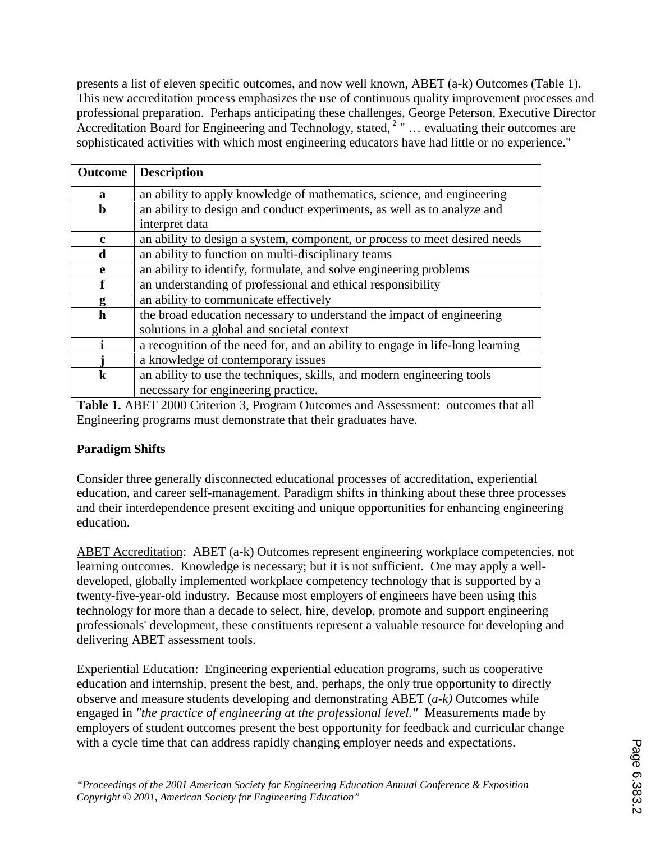presents a list of eleven specific outcomes, and now well known, ABET (a-k) Outcomes (Table 1). This new accreditation process emphasizes the use of continuous quality improvement processes and professional preparation. Perhaps anticipating these challenges, George Peterson, Executive Director Accreditation Board for Engineering and Technology, stated, <sup>2</sup> " ... evaluating their outcomes are sophisticated activities with which most engineering educators have had little or no experience."

| <b>Outcome</b> | <b>Description</b>                                                            |
|----------------|-------------------------------------------------------------------------------|
| $\mathbf{a}$   | an ability to apply knowledge of mathematics, science, and engineering        |
| $\mathbf b$    | an ability to design and conduct experiments, as well as to analyze and       |
|                | interpret data                                                                |
| $\mathbf c$    | an ability to design a system, component, or process to meet desired needs    |
| d              | an ability to function on multi-disciplinary teams                            |
| e              | an ability to identify, formulate, and solve engineering problems             |
| f              | an understanding of professional and ethical responsibility                   |
| g              | an ability to communicate effectively                                         |
| $\mathbf h$    | the broad education necessary to understand the impact of engineering         |
|                | solutions in a global and societal context                                    |
|                | a recognition of the need for, and an ability to engage in life-long learning |
|                | a knowledge of contemporary issues                                            |
| $\bf k$        | an ability to use the techniques, skills, and modern engineering tools        |
|                | necessary for engineering practice.                                           |

**Table 1.** ABET 2000 Criterion 3, Program Outcomes and Assessment: outcomes that all Engineering programs must demonstrate that their graduates have.

### **Paradigm Shifts**

Consider three generally disconnected educational processes of accreditation, experiential education, and career self-management. Paradigm shifts in thinking about these three processes and their interdependence present exciting and unique opportunities for enhancing engineering education.

ABET Accreditation: ABET (a-k) Outcomes represent engineering workplace competencies, not learning outcomes. Knowledge is necessary; but it is not sufficient. One may apply a welldeveloped, globally implemented workplace competency technology that is supported by a twenty-five-year-old industry. Because most employers of engineers have been using this technology for more than a decade to select, hire, develop, promote and support engineering professionals' development, these constituents represent a valuable resource for developing and delivering ABET assessment tools.

Experiential Education: Engineering experiential education programs, such as cooperative education and internship, present the best, and, perhaps, the only true opportunity to directly observe and measure students developing and demonstrating ABET (*a-k)* Outcomes while engaged in *"the practice of engineering at the professional level."* Measurements made by employers of student outcomes present the best opportunity for feedback and curricular change with a cycle time that can address rapidly changing employer needs and expectations.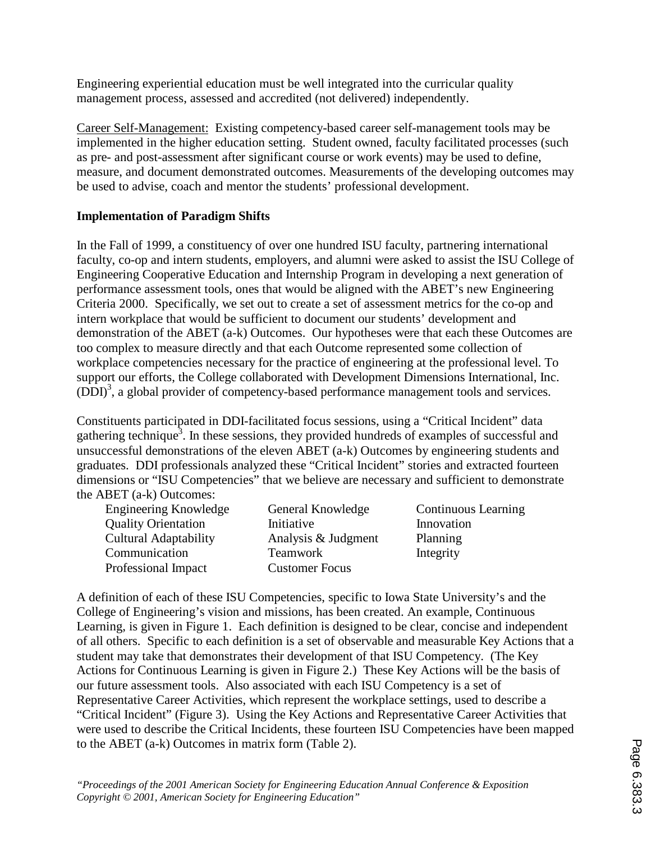Engineering experiential education must be well integrated into the curricular quality management process, assessed and accredited (not delivered) independently.

Career Self-Management: Existing competency-based career self-management tools may be implemented in the higher education setting. Student owned, faculty facilitated processes (such as pre- and post-assessment after significant course or work events) may be used to define, measure, and document demonstrated outcomes. Measurements of the developing outcomes may be used to advise, coach and mentor the students' professional development.

## **Implementation of Paradigm Shifts**

In the Fall of 1999, a constituency of over one hundred ISU faculty, partnering international faculty, co-op and intern students, employers, and alumni were asked to assist the ISU College of Engineering Cooperative Education and Internship Program in developing a next generation of performance assessment tools, ones that would be aligned with the ABET's new Engineering Criteria 2000. Specifically, we set out to create a set of assessment metrics for the co-op and intern workplace that would be sufficient to document our students' development and demonstration of the ABET (a-k) Outcomes. Our hypotheses were that each these Outcomes are too complex to measure directly and that each Outcome represented some collection of workplace competencies necessary for the practice of engineering at the professional level. To support our efforts, the College collaborated with Development Dimensions International, Inc. (DDI)<sup>3</sup>, a global provider of competency-based performance management tools and services.

Constituents participated in DDI-facilitated focus sessions, using a "Critical Incident" data gathering technique<sup>3</sup>. In these sessions, they provided hundreds of examples of successful and unsuccessful demonstrations of the eleven ABET (a-k) Outcomes by engineering students and graduates. DDI professionals analyzed these "Critical Incident" stories and extracted fourteen dimensions or "ISU Competencies" that we believe are necessary and sufficient to demonstrate the ABET (a-k) Outcomes:

| <b>Engineering Knowledge</b> | General Knowledge     |
|------------------------------|-----------------------|
| <b>Quality Orientation</b>   | Initiative            |
| <b>Cultural Adaptability</b> | Analysis & Judgment   |
| Communication                | <b>Teamwork</b>       |
| Professional Impact          | <b>Customer Focus</b> |
|                              |                       |

Continuous Learning **Innovation** Planning Integrity

A definition of each of these ISU Competencies, specific to Iowa State University's and the College of Engineering's vision and missions, has been created. An example, Continuous Learning, is given in Figure 1. Each definition is designed to be clear, concise and independent of all others. Specific to each definition is a set of observable and measurable Key Actions that a student may take that demonstrates their development of that ISU Competency. (The Key Actions for Continuous Learning is given in Figure 2.) These Key Actions will be the basis of our future assessment tools. Also associated with each ISU Competency is a set of Representative Career Activities, which represent the workplace settings, used to describe a "Critical Incident" (Figure 3). Using the Key Actions and Representative Career Activities that were used to describe the Critical Incidents, these fourteen ISU Competencies have been mapped to the ABET (a-k) Outcomes in matrix form (Table 2).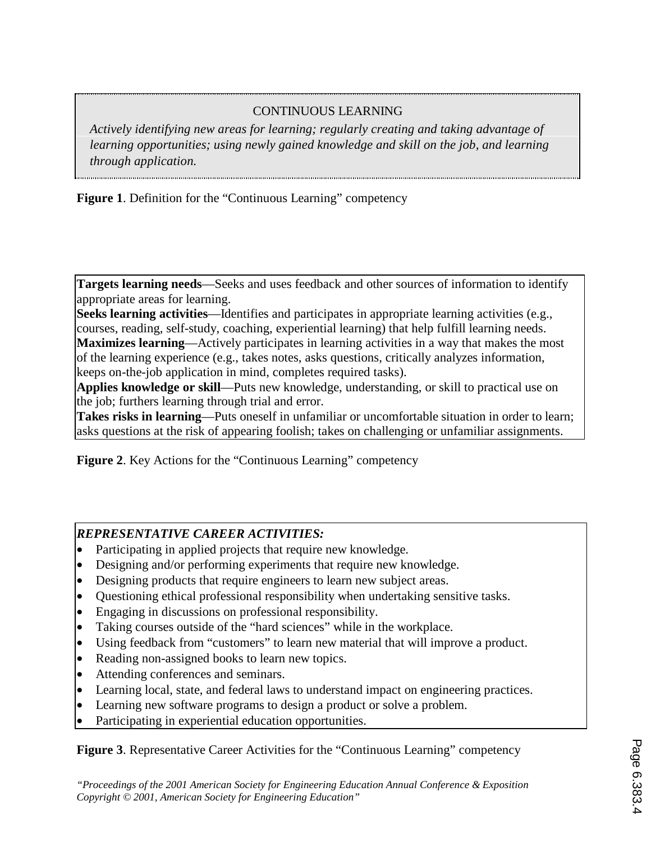# CONTINUOUS LEARNING

*Actively identifying new areas for learning; regularly creating and taking advantage of learning opportunities; using newly gained knowledge and skill on the job, and learning through application.* 

**Figure 1**. Definition for the "Continuous Learning" competency

**Targets learning needs**—Seeks and uses feedback and other sources of information to identify appropriate areas for learning.

**Seeks learning activities**—Identifies and participates in appropriate learning activities (e.g., courses, reading, self-study, coaching, experiential learning) that help fulfill learning needs. **Maximizes learning**—Actively participates in learning activities in a way that makes the most of the learning experience (e.g., takes notes, asks questions, critically analyzes information, keeps on-the-job application in mind, completes required tasks).

**Applies knowledge or skill**—Puts new knowledge, understanding, or skill to practical use on the job; furthers learning through trial and error.

**Takes risks in learning**—Puts oneself in unfamiliar or uncomfortable situation in order to learn; asks questions at the risk of appearing foolish; takes on challenging or unfamiliar assignments.

**Figure 2**. Key Actions for the "Continuous Learning" competency

## *REPRESENTATIVE CAREER ACTIVITIES:*

- Participating in applied projects that require new knowledge.
- Designing and/or performing experiments that require new knowledge.
- Designing products that require engineers to learn new subject areas.
- Questioning ethical professional responsibility when undertaking sensitive tasks.
- Engaging in discussions on professional responsibility.
- Taking courses outside of the "hard sciences" while in the workplace.
- Using feedback from "customers" to learn new material that will improve a product.
- Reading non-assigned books to learn new topics.
- Attending conferences and seminars.
- Learning local, state, and federal laws to understand impact on engineering practices.
- Learning new software programs to design a product or solve a problem.
- Participating in experiential education opportunities.

**Figure 3**. Representative Career Activities for the "Continuous Learning" competency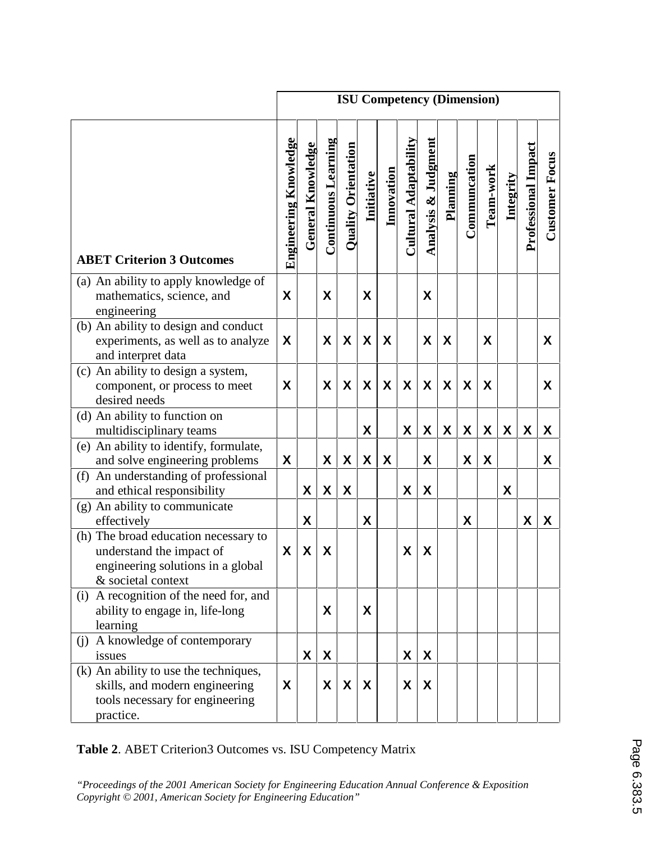|                                                                                                                             | <b>ISU Competency (Dimension)</b> |                          |                            |                            |                  |                  |                                     |                     |          |              |                    |                  |                            |                       |
|-----------------------------------------------------------------------------------------------------------------------------|-----------------------------------|--------------------------|----------------------------|----------------------------|------------------|------------------|-------------------------------------|---------------------|----------|--------------|--------------------|------------------|----------------------------|-----------------------|
| <b>ABET Criterion 3 Outcomes</b>                                                                                            | <b>Engineering Knowledge</b>      | <b>General Knowledge</b> | <b>Continuous Learning</b> | <b>Quality Orientation</b> | Initiative       | Innovation       | $C$ ultural Adaptabilit $\mathbf t$ | Analysis & Judgment | Planning | Communcation | Team-work          | <b>Integrity</b> | <b>Professional Impact</b> | <b>Customer Focus</b> |
| (a) An ability to apply knowledge of<br>mathematics, science, and<br>engineering                                            | X                                 |                          | X                          |                            | X                |                  |                                     | X                   |          |              |                    |                  |                            |                       |
| (b) An ability to design and conduct<br>experiments, as well as to analyze<br>and interpret data                            | X                                 |                          | X                          | X                          | X                | X                |                                     | X                   | X        |              | X                  |                  |                            | X                     |
| (c) An ability to design a system,<br>component, or process to meet<br>desired needs                                        | X                                 |                          | X                          | X                          | X                | X                | X                                   | X                   | X        | X            | X                  |                  |                            | X                     |
| (d) An ability to function on<br>multidisciplinary teams                                                                    |                                   |                          |                            |                            | X                |                  | X                                   | X                   | X        | X            | X                  | X                | X                          | X                     |
| (e) An ability to identify, formulate,<br>and solve engineering problems                                                    | X                                 |                          | X                          | $\boldsymbol{X}$           | $\boldsymbol{X}$ | $\boldsymbol{X}$ |                                     | X                   |          | X            | $\pmb{\mathsf{X}}$ |                  |                            | X                     |
| An understanding of professional<br>(f)<br>and ethical responsibility                                                       |                                   | X                        | X                          | X                          |                  |                  | X                                   | $\pmb{\mathsf{X}}$  |          |              |                    | X                |                            |                       |
| (g) An ability to communicate<br>effectively                                                                                |                                   | X                        |                            |                            | X                |                  |                                     |                     |          | X            |                    |                  | $\boldsymbol{X}$           | X                     |
| (h) The broad education necessary to<br>understand the impact of<br>engineering solutions in a global<br>& societal context | X                                 | X                        | X                          |                            |                  |                  | X                                   | X                   |          |              |                    |                  |                            |                       |
| (i) A recognition of the need for, and<br>ability to engage in, life-long<br>learning                                       |                                   |                          | X                          |                            | X                |                  |                                     |                     |          |              |                    |                  |                            |                       |
| A knowledge of contemporary<br>(i)<br>issues                                                                                |                                   | X                        | X                          |                            |                  |                  | X                                   | X                   |          |              |                    |                  |                            |                       |
| (k) An ability to use the techniques,<br>skills, and modern engineering<br>tools necessary for engineering<br>practice.     | X                                 |                          | X                          | X                          | X                |                  | X                                   | X                   |          |              |                    |                  |                            |                       |

**Table 2**. ABET Criterion3 Outcomes vs. ISU Competency Matrix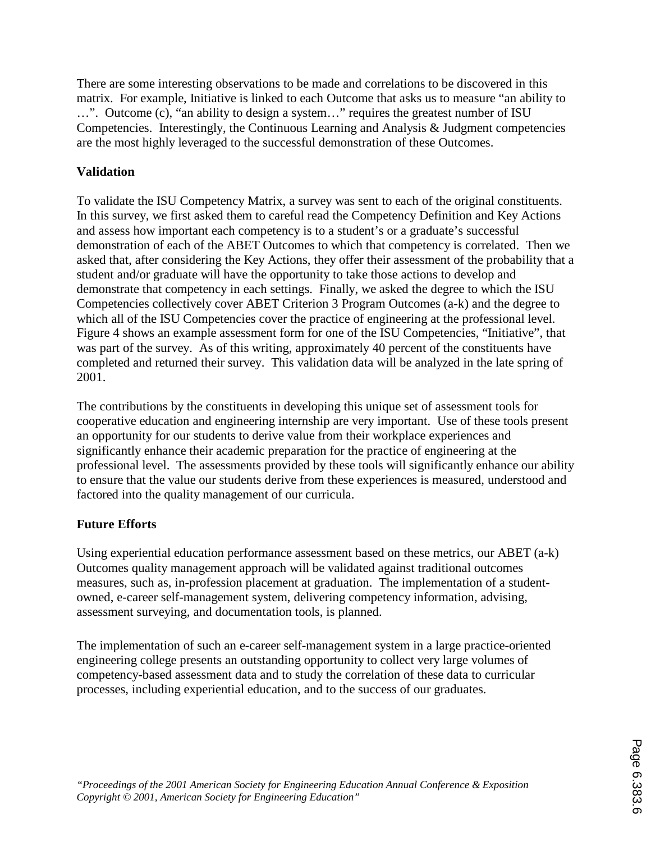There are some interesting observations to be made and correlations to be discovered in this matrix. For example, Initiative is linked to each Outcome that asks us to measure "an ability to …". Outcome (c), "an ability to design a system…" requires the greatest number of ISU Competencies. Interestingly, the Continuous Learning and Analysis & Judgment competencies are the most highly leveraged to the successful demonstration of these Outcomes.

## **Validation**

To validate the ISU Competency Matrix, a survey was sent to each of the original constituents. In this survey, we first asked them to careful read the Competency Definition and Key Actions and assess how important each competency is to a student's or a graduate's successful demonstration of each of the ABET Outcomes to which that competency is correlated. Then we asked that, after considering the Key Actions, they offer their assessment of the probability that a student and/or graduate will have the opportunity to take those actions to develop and demonstrate that competency in each settings. Finally, we asked the degree to which the ISU Competencies collectively cover ABET Criterion 3 Program Outcomes (a-k) and the degree to which all of the ISU Competencies cover the practice of engineering at the professional level. Figure 4 shows an example assessment form for one of the ISU Competencies, "Initiative", that was part of the survey. As of this writing, approximately 40 percent of the constituents have completed and returned their survey. This validation data will be analyzed in the late spring of 2001.

The contributions by the constituents in developing this unique set of assessment tools for cooperative education and engineering internship are very important. Use of these tools present an opportunity for our students to derive value from their workplace experiences and significantly enhance their academic preparation for the practice of engineering at the professional level. The assessments provided by these tools will significantly enhance our ability to ensure that the value our students derive from these experiences is measured, understood and factored into the quality management of our curricula.

## **Future Efforts**

Using experiential education performance assessment based on these metrics, our ABET (a-k) Outcomes quality management approach will be validated against traditional outcomes measures, such as, in-profession placement at graduation. The implementation of a studentowned, e-career self-management system, delivering competency information, advising, assessment surveying, and documentation tools, is planned.

The implementation of such an e-career self-management system in a large practice-oriented engineering college presents an outstanding opportunity to collect very large volumes of competency-based assessment data and to study the correlation of these data to curricular processes, including experiential education, and to the success of our graduates.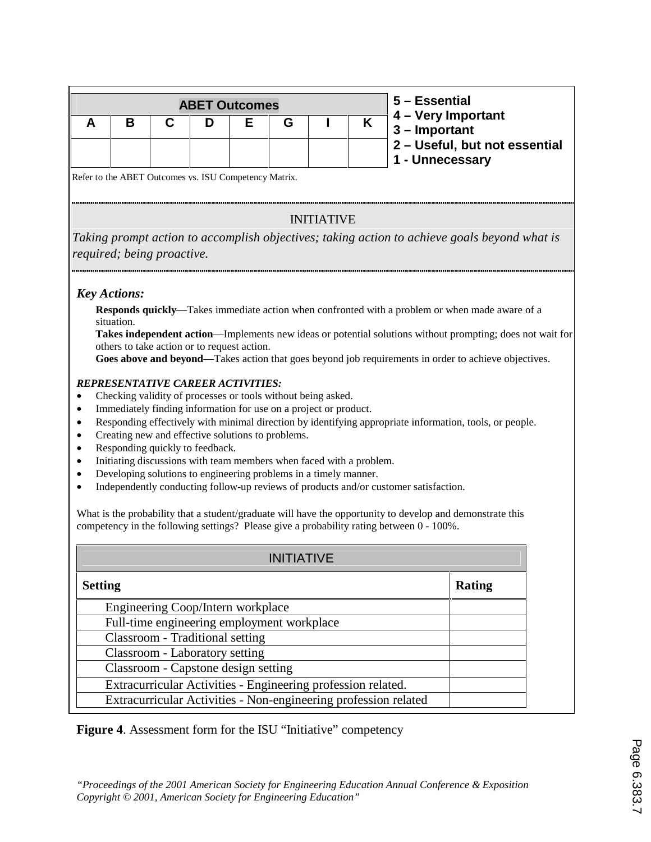|  | <b>ABET Outcomes</b> |  |  | 5 – Essential                                                                            |
|--|----------------------|--|--|------------------------------------------------------------------------------------------|
|  |                      |  |  | $\begin{array}{ l} 4 - \text{Very Important} \\ \hline 3 - \text{Important} \end{array}$ |
|  |                      |  |  | 2 - Useful, but not essential<br>1 - Unnecessary                                         |

Refer to the ABET Outcomes vs. ISU Competency Matrix.

## INITIATIVE

*Taking prompt action to accomplish objectives; taking action to achieve goals beyond what is required; being proactive.* 

### *Key Actions:*

**Responds quickly**—Takes immediate action when confronted with a problem or when made aware of a situation.

**Takes independent action**—Implements new ideas or potential solutions without prompting; does not wait for others to take action or to request action.

**Goes above and beyond**—Takes action that goes beyond job requirements in order to achieve objectives.

#### *REPRESENTATIVE CAREER ACTIVITIES:*

- Checking validity of processes or tools without being asked.
- Immediately finding information for use on a project or product.
- Responding effectively with minimal direction by identifying appropriate information, tools, or people.
- Creating new and effective solutions to problems.
- Responding quickly to feedback.
- Initiating discussions with team members when faced with a problem.
- Developing solutions to engineering problems in a timely manner.
- Independently conducting follow-up reviews of products and/or customer satisfaction.

What is the probability that a student/graduate will have the opportunity to develop and demonstrate this competency in the following settings? Please give a probability rating between 0 - 100%.

| <b>INITIATIVE</b>                                               |        |  |  |  |  |  |
|-----------------------------------------------------------------|--------|--|--|--|--|--|
| <b>Setting</b>                                                  | Rating |  |  |  |  |  |
| Engineering Coop/Intern workplace                               |        |  |  |  |  |  |
| Full-time engineering employment workplace                      |        |  |  |  |  |  |
| Classroom - Traditional setting                                 |        |  |  |  |  |  |
| Classroom - Laboratory setting                                  |        |  |  |  |  |  |
| Classroom - Capstone design setting                             |        |  |  |  |  |  |
| Extracurricular Activities - Engineering profession related.    |        |  |  |  |  |  |
| Extracurricular Activities - Non-engineering profession related |        |  |  |  |  |  |

**Figure 4**. Assessment form for the ISU "Initiative" competency